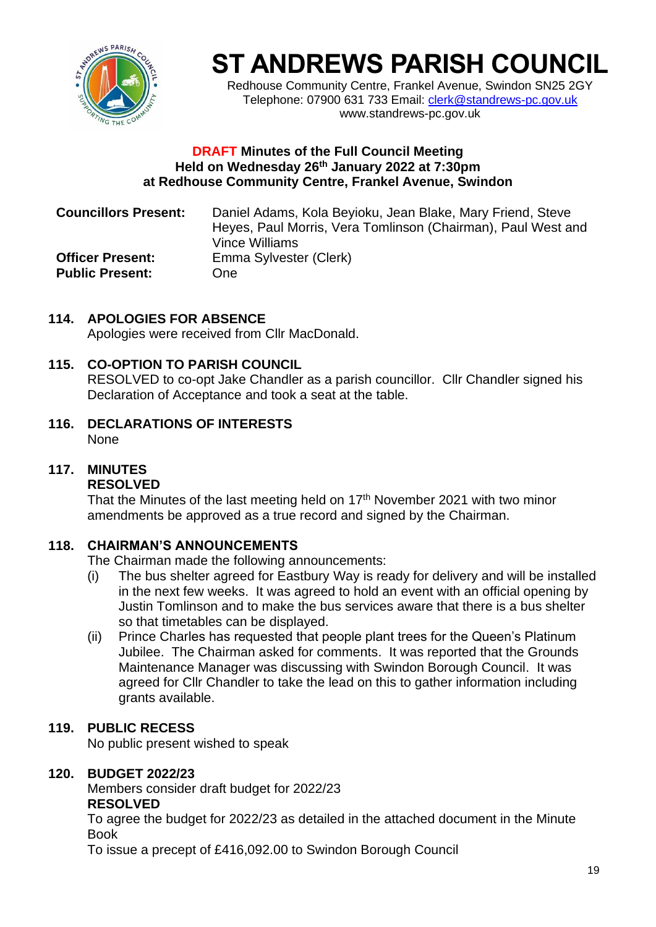

# **ST ANDREWS PARISH COUNCIL**

Redhouse Community Centre, Frankel Avenue, Swindon SN25 2GY Telephone: 07900 631 733 Email: [clerk@standrews-pc.gov.uk](mailto:clerk@standrews-pc.gov.uk) www.standrews-pc.gov.uk

#### **DRAFT Minutes of the Full Council Meeting Held on Wednesday 26th January 2022 at 7:30pm at Redhouse Community Centre, Frankel Avenue, Swindon**

| <b>Councillors Present:</b> | Daniel Adams, Kola Beyioku, Jean Blake, Mary Friend, Steve<br>Heyes, Paul Morris, Vera Tomlinson (Chairman), Paul West and<br>Vince Williams |
|-----------------------------|----------------------------------------------------------------------------------------------------------------------------------------------|
| <b>Officer Present:</b>     | Emma Sylvester (Clerk)                                                                                                                       |
| <b>Public Present:</b>      | One                                                                                                                                          |

# **114. APOLOGIES FOR ABSENCE**

Apologies were received from Cllr MacDonald.

# **115. CO-OPTION TO PARISH COUNCIL**

RESOLVED to co-opt Jake Chandler as a parish councillor. Cllr Chandler signed his Declaration of Acceptance and took a seat at the table.

**116. DECLARATIONS OF INTERESTS** None

# **117. MINUTES**

#### **RESOLVED**

That the Minutes of the last meeting held on 17<sup>th</sup> November 2021 with two minor amendments be approved as a true record and signed by the Chairman.

# **118. CHAIRMAN'S ANNOUNCEMENTS**

The Chairman made the following announcements:

- (i) The bus shelter agreed for Eastbury Way is ready for delivery and will be installed in the next few weeks. It was agreed to hold an event with an official opening by Justin Tomlinson and to make the bus services aware that there is a bus shelter so that timetables can be displayed.
- (ii) Prince Charles has requested that people plant trees for the Queen's Platinum Jubilee. The Chairman asked for comments. It was reported that the Grounds Maintenance Manager was discussing with Swindon Borough Council. It was agreed for Cllr Chandler to take the lead on this to gather information including grants available.

# **119. PUBLIC RECESS**

No public present wished to speak

# **120. BUDGET 2022/23**

Members consider draft budget for 2022/23 **RESOLVED**

To agree the budget for 2022/23 as detailed in the attached document in the Minute Book

To issue a precept of £416,092.00 to Swindon Borough Council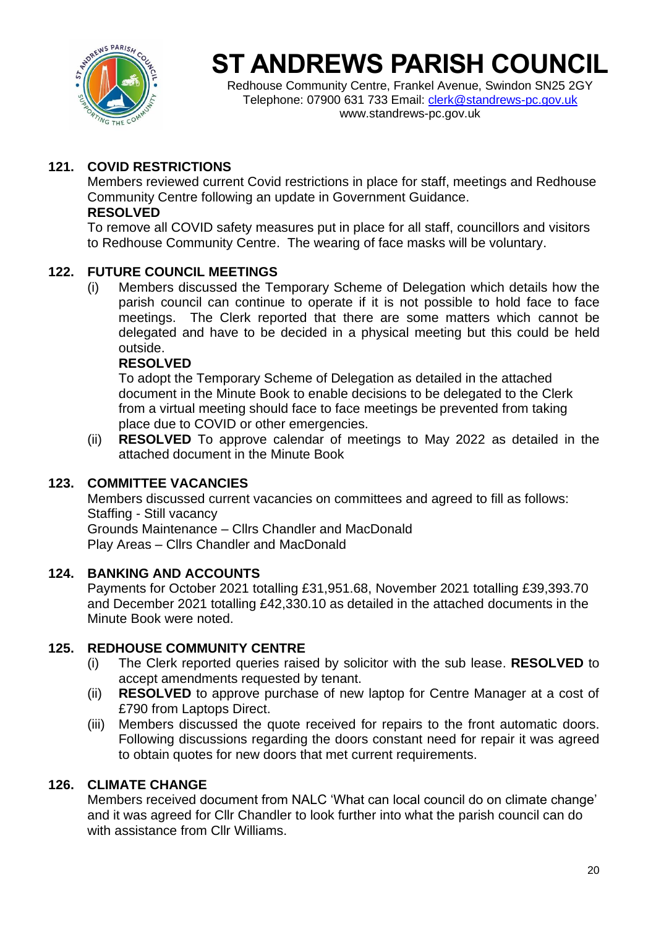

# **ST ANDREWS PARISH COUNCIL**

Redhouse Community Centre, Frankel Avenue, Swindon SN25 2GY Telephone: 07900 631 733 Email: [clerk@standrews-pc.gov.uk](mailto:clerk@standrews-pc.gov.uk) www.standrews-pc.gov.uk

# **121. COVID RESTRICTIONS**

Members reviewed current Covid restrictions in place for staff, meetings and Redhouse Community Centre following an update in Government Guidance. **RESOLVED**

To remove all COVID safety measures put in place for all staff, councillors and visitors to Redhouse Community Centre. The wearing of face masks will be voluntary.

### **122. FUTURE COUNCIL MEETINGS**

(i) Members discussed the Temporary Scheme of Delegation which details how the parish council can continue to operate if it is not possible to hold face to face meetings. The Clerk reported that there are some matters which cannot be delegated and have to be decided in a physical meeting but this could be held outside.

#### **RESOLVED**

To adopt the Temporary Scheme of Delegation as detailed in the attached document in the Minute Book to enable decisions to be delegated to the Clerk from a virtual meeting should face to face meetings be prevented from taking place due to COVID or other emergencies.

(ii) **RESOLVED** To approve calendar of meetings to May 2022 as detailed in the attached document in the Minute Book

#### **123. COMMITTEE VACANCIES**

Members discussed current vacancies on committees and agreed to fill as follows: Staffing - Still vacancy Grounds Maintenance – Cllrs Chandler and MacDonald Play Areas – Cllrs Chandler and MacDonald

#### **124. BANKING AND ACCOUNTS**

Payments for October 2021 totalling £31,951.68, November 2021 totalling £39,393.70 and December 2021 totalling £42,330.10 as detailed in the attached documents in the Minute Book were noted.

#### **125. REDHOUSE COMMUNITY CENTRE**

- (i) The Clerk reported queries raised by solicitor with the sub lease. **RESOLVED** to accept amendments requested by tenant.
- (ii) **RESOLVED** to approve purchase of new laptop for Centre Manager at a cost of £790 from Laptops Direct.
- (iii) Members discussed the quote received for repairs to the front automatic doors. Following discussions regarding the doors constant need for repair it was agreed to obtain quotes for new doors that met current requirements.

#### **126. CLIMATE CHANGE**

Members received document from NALC 'What can local council do on climate change' and it was agreed for Cllr Chandler to look further into what the parish council can do with assistance from Cllr Williams.